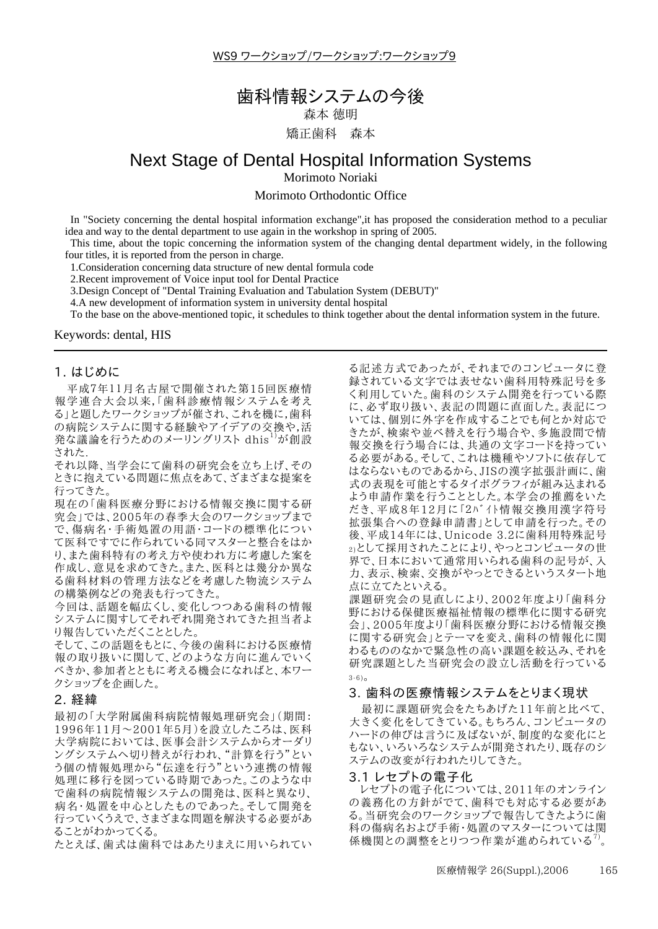WS9 ワークショップ/ワークショップ:ワークショップ9

# 歯科情報システムの今後

森本 徳明

矯正歯科 森本

# Next Stage of Dental Hospital Information Systems

Morimoto Noriaki

Morimoto Orthodontic Office

In "Society concerning the dental hospital information exchange" it has proposed the consideration method to a peculiar idea and way to the dental department to use again in the workshop in spring of 2005.

This time, about the topic concerning the information system of the changing dental department widely, in the following four titles, it is reported from the person in charge.

1. Consideration concerning data structure of new dental formula code

2. Recent improvement of Voice input tool for Dental Practice

3. Design Concept of "Dental Training Evaluation and Tabulation System (DEBUT)"

4.A new development of information system in university dental hospital

To the base on the above-mentioned topic, it schedules to think together about the dental information system in the future.

Keywords: dental, HIS

### 1. はじめに

平成7年11月名古屋で開催された第15回医療情 報学連合大会以来,「歯科診療情報システムを考え る」と題したワークショップが催され、これを機に,歯科 の病院システムに関する経験やアイデアの交換や,活 発な議論を行うためのメーリングリスト dhis<sup>1)</sup>が創設 された

それ以降、当学会にて歯科の研究会を立ち上げ、その ときに抱えている問題に焦点をあて、ざまざまな提案を 行ってきた。

現在の「歯科医療分野における情報交換に関する研 究会」では、2005年の春季大会のワークショップまで で、傷病名・手術処置の用語・コードの標準化につい て医科ですでに作られている同マスターと整合をはか り、また歯科特有の考え方や使われ方に考慮した案を 作成し、意見を求めてきた。また、医科とは幾分か異な る歯科材料の管理方法などを考慮した物流システム の構築例などの発表も行ってきた。

今回は、話題を幅広くし、変化しつつある歯科の情報 システムに関すしてそれぞれ開発されてきた担当者よ り報告していただくこととした。

そして、この話題をもとに、今後の歯科における医療情 報の取り扱いに関して、どのような方向に進んでいく べきか、参加者とともに考える機会になればと、本ワー クショップを企画した。

## 2. 経緯

最初の「大学附属歯科病院情報処理研究会」(期間: 1996年11月~2001年5月)を設立したころは、医科 大学病院においては、医事会計システムからオーダリ ングシステムへ切り替えが行われ、"計算を行う"とい<br>う個の情報処理から"伝達を行う"という連携の情報 処理に移行を図っている時期であった。このような中 で歯科の病院情報システムの開発は、医科と異なり、 病名・処置を中心としたものであった。そして開発を 行っていくうえで、さまざまな問題を解決する必要があ ることがわかってくる。

たとえば、歯式は歯科ではあたりまえに用いられてい

る記述方式であったが、それまでのコンピュータに登 録されている文字では表せない歯科用特殊記号を多 く利用していた。歯科のシステム開発を行っている際 に、必ず取り扱い、表記の問題に直面した。表記につ いては、個別に外字を作成することでも何とか対応で きたが、検索や並べ替えを行う場合や、多施設間で情 報交換を行う場合には、共通の文字コードを持ってい る必要がある。そして、これは機種やソフトに依存して はならないものであるから、JISの漢字拡張計画に、歯 式の表現を可能とするタイポグラフィが組み込まれる よう申請作業を行うこととした。本学会の推薦をいた だき、平成8年12月に「2バイト情報交換用漢字符号 拡張集合への登録申請書」として申請を行った。その 後、平成14年には、Unicode 3.2に歯科用特殊記号 2)として採用されたことにより、やっとコンピュータの世 界で、日本において通常用いられる歯科の記号が、入 力、表示、検索、交換がやっとできるというスタート地 点に立てたといえる。

課題研究会の見直しにより、2002年度より「歯科分 野における保健医療福祉情報の標準化に関する研究 会」、2005年度より「歯科医療分野における情報交換 に関する研究会」とテーマを変え、歯科の情報化に関 わるもののなかで緊急性の高い課題を絞込み、それを 研究課題とした当研究会の設立し活動を行っている  $3 - 6$ ).

#### 3. 歯科の医療情報システムをとりまく現状

最初に課題研究会をたちあげた11年前と比べて、 大きく変化をしてきている。もちろん、コンピュータの ハードの伸びは言うに及ばないが、制度的な変化にと もない、いろいろなシステムが開発されたり、既存のシ ステムの改変が行われたりしてきた。

#### 3.1 レセプトの電子化

レセプトの電子化については、2011年のオンライン の義務化の方針がでて、歯科でも対応する必要があ る。当研究会のワークショップで報告してきたように歯 科の傷病名および手術・処置のマスターについては関 係機関との調整をとりつつ作業が進められている<sup>7</sup>